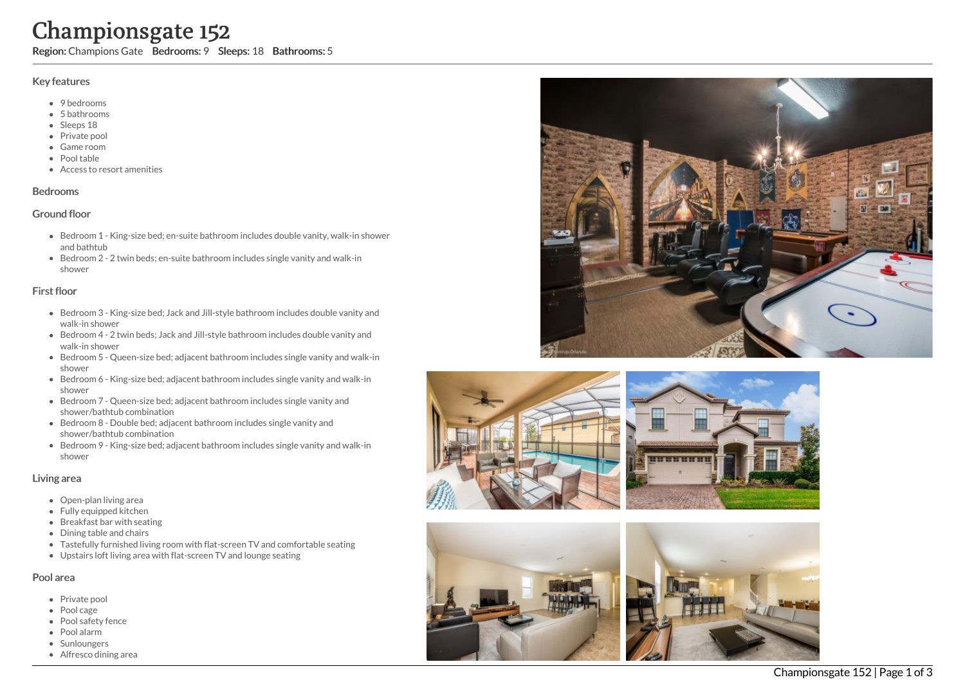# Championsgate 152

Region: Champions Gate Bedrooms: 9 Sleeps: 18 Bathrooms: 5

## Key features

- 9 bedrooms
- 5 b a t h r o o m s
- Sleeps 18
- Private pool
- Game room
- Pool table
- Access to resort amenities

## **Bedrooms**

## Ground floor

- Bedroom 1 King-size bed; en-suite bathroom includes double vanity, walk-in shower and bathtub
- Bedroom 2 2 twin beds; en-suite bathroom includes single vanity and walk-in s h o w e r

# First floor

- Bedroom 3 King-size bed; Jack and Jill-style bathroom includes double vanity and walk-in shower
- Bedroom 4 2 twin beds; Jack and Jill-style bathroom includes double vanity and walk-in shower
- Bedroom 5 Queen-size bed; adjacent bathroom includes single vanity and walk-in s h o w e r
- Bedroom 6 King-size bed; adjacent bathroom includes single vanity and walk-in s h o w e r
- Bedroom 7 Queen-size bed; adjacent bathroom includes single vanity and shower/bathtub combination
- Bedroom 8 Double bed; adjacent bathroom includes single vanity and shower/bathtub combination
- Bedroom 9 King-size bed; adjacent bathroom includes single vanity and walk-in s h o w e r

## Living area

- Open-plan living area
- Fully equipped kitchen
- Breakfast bar with seating
- Dining table and chairs
- Tastefully furnished living room with flat-screen TV and comfortable seating
- Upstairs loft living area with flat-screen TV and lounge seating

# Pool area

- Private pool
- Pool cage
- Pool safety fence
- P o ol ala r m
- **Sunloungers**
- Alfresco dining area







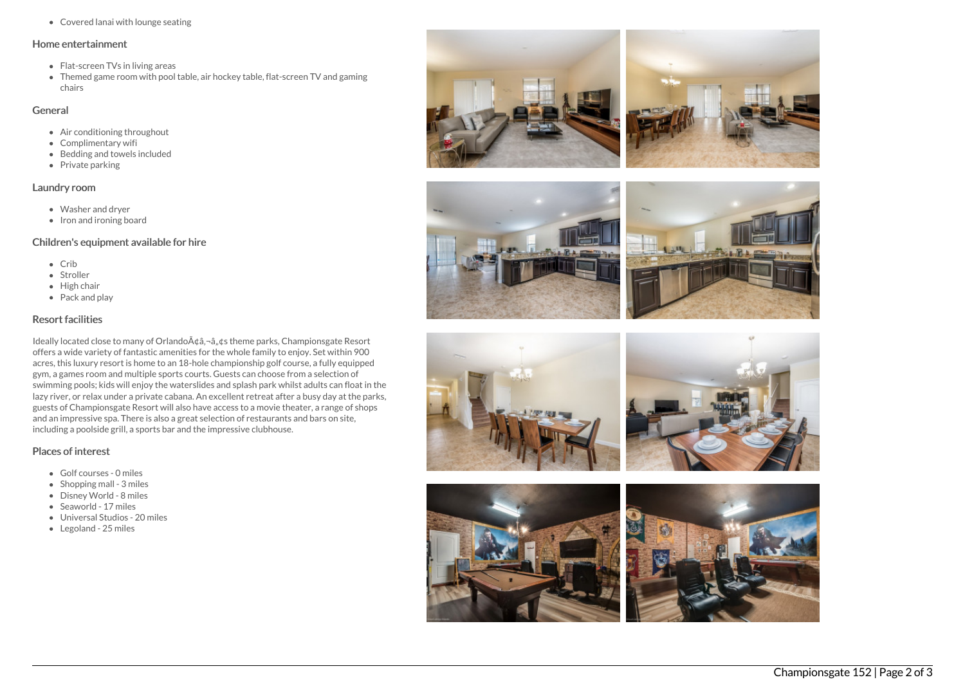Covered lanai with lounge seating

#### Home entertainment

- Flat-screen TVs in living areas
- Themed game room with pool table, air hockey table, flat-screen TV and gaming chairs

## General

- Air conditioning throughout
- Complimentary wifi
- Bedding and towels included
- $\bullet$  Private parking

## Laundry room

- Washer and dryer
- Iron and ironing board

# Children's equipment available for hire

- $\bullet$  Crib
- Stroller
- High chair
- Pack and play

# Resort facilities

Ideally located close to many of Orlando A¢â,¬â, ¢s theme parks, Championsgate Resort offers a wide variety of fantastic amenities for the whole family to enjoy. Set within 900 acres, this luxury resort is home to an 18-hole championship golf course, a fully equipped gym, a games room and multiple sports courts. Guests can choose from a selection of swimming pools; kids will enjoy the waterslides and splash park whilst adults can float in the lazy river, or relax under a private cabana. An excellent retreat after a busy day at the parks, guests of Championsgate Resort will also have access to a movie theater, a range of shops and an impressive spa. There is also a great selection of restaurants and bars on site, including a poolside grill, a sports bar and the impressive clubhouse.

# Places of interest

- Golf courses 0 miles
- $\bullet$  Shopping mall 3 miles
- Disney World 8 miles
- Seaworld 17 miles
- Universal Studios 20 miles
- Legoland 25 miles